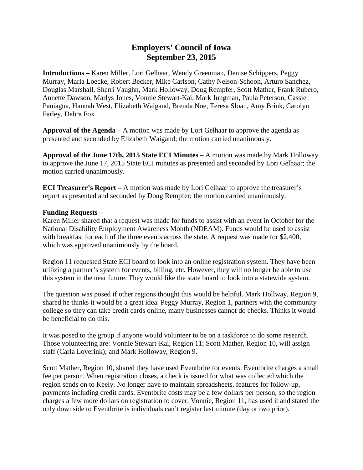## **Employers' Council of Iowa September 23, 2015**

**Introductions –** Karen Miller, Lori Gelhaar, Wendy Greenman, Denise Schippers, Peggy Murray, Marla Loecke, Robert Becker, Mike Carlson, Cathy Nelson-Schoon, Arturo Sanchez, Douglas Marshall, Sherri Vaughn, Mark Holloway, Doug Rempfer, Scott Mather, Frank Rubero, Annette Dawson, Marlys Jones, Vonnie Stewart-Kai, Mark Jungman, Paula Peterson, Cassie Paniagua, Hannah West, Elizabeth Waigand, Brenda Noe, Teresa Sloan, Amy Brink, Carolyn Farley, Debra Fox

**Approval of the Agenda –** A motion was made by Lori Gelhaar to approve the agenda as presented and seconded by Elizabeth Waigand; the motion carried unanimously.

**Approval of the June 17th, 2015 State ECI Minutes –** A motion was made by Mark Holloway to approve the June 17, 2015 State ECI minutes as presented and seconded by Lori Gelhaar; the motion carried unanimously.

**ECI Treasurer's Report –** A motion was made by Lori Gelhaar to approve the treasurer's report as presented and seconded by Doug Rempfer; the motion carried unanimously.

#### **Funding Requests –**

Karen Miller shared that a request was made for funds to assist with an event in October for the National Disability Employment Awareness Month (NDEAM). Funds would be used to assist with breakfast for each of the three events across the state. A request was made for \$2,400, which was approved unanimously by the board.

Region 11 requested State ECI board to look into an online registration system. They have been utilizing a partner's system for events, billing, etc. However, they will no longer be able to use this system in the near future. They would like the state board to look into a statewide system.

The question was posed if other regions thought this would be helpful. Mark Hollway, Region 9, shared he thinks it would be a great idea. Peggy Murray, Region 1, partners with the community college so they can take credit cards online, many businesses cannot do checks. Thinks it would be beneficial to do this.

It was posed to the group if anyone would volunteer to be on a taskforce to do some research. Those volunteering are: Vonnie Stewart-Kai, Region 11; Scott Mather, Region 10, will assign staff (Carla Loverink); and Mark Holloway, Region 9.

Scott Mather, Region 10, shared they have used Eventbrite for events. Eventbrite charges a small fee per person. When registration closes, a check is issued for what was collected which the region sends on to Keely. No longer have to maintain spreadsheets, features for follow-up, payments including credit cards. Eventbrite costs may be a few dollars per person, so the region charges a few more dollars on registration to cover. Vonnie, Region 11, has used it and stated the only downside to Eventbrite is individuals can't register last minute (day or two prior).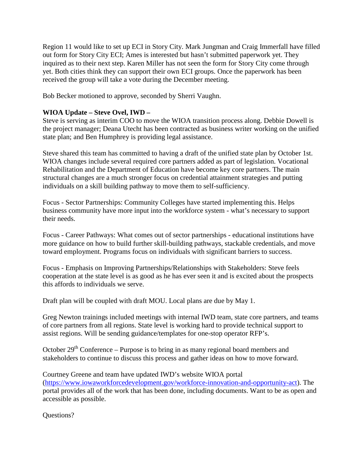Region 11 would like to set up ECI in Story City. Mark Jungman and Craig Immerfall have filled out form for Story City ECI; Ames is interested but hasn't submitted paperwork yet. They inquired as to their next step. Karen Miller has not seen the form for Story City come through yet. Both cities think they can support their own ECI groups. Once the paperwork has been received the group will take a vote during the December meeting.

Bob Becker motioned to approve, seconded by Sherri Vaughn.

### **WIOA Update – Steve Ovel, IWD –**

Steve is serving as interim COO to move the WIOA transition process along. Debbie Dowell is the project manager; Deana Utecht has been contracted as business writer working on the unified state plan; and Ben Humphrey is providing legal assistance.

Steve shared this team has committed to having a draft of the unified state plan by October 1st. WIOA changes include several required core partners added as part of legislation. Vocational Rehabilitation and the Department of Education have become key core partners. The main structural changes are a much stronger focus on credential attainment strategies and putting individuals on a skill building pathway to move them to self-sufficiency.

Focus - Sector Partnerships: Community Colleges have started implementing this. Helps business community have more input into the workforce system - what's necessary to support their needs.

Focus - Career Pathways: What comes out of sector partnerships - educational institutions have more guidance on how to build further skill-building pathways, stackable credentials, and move toward employment. Programs focus on individuals with significant barriers to success.

Focus - Emphasis on Improving Partnerships/Relationships with Stakeholders: Steve feels cooperation at the state level is as good as he has ever seen it and is excited about the prospects this affords to individuals we serve.

Draft plan will be coupled with draft MOU. Local plans are due by May 1.

Greg Newton trainings included meetings with internal IWD team, state core partners, and teams of core partners from all regions. State level is working hard to provide technical support to assist regions. Will be sending guidance/templates for one-stop operator RFP's.

October  $29<sup>th</sup>$  Conference – Purpose is to bring in as many regional board members and stakeholders to continue to discuss this process and gather ideas on how to move forward.

Courtney Greene and team have updated IWD's website WIOA portal [\(https://www.iowaworkforcedevelopment.gov/workforce-innovation-and-opportunity-act\)](https://www.iowaworkforcedevelopment.gov/workforce-innovation-and-opportunity-act). The portal provides all of the work that has been done, including documents. Want to be as open and accessible as possible.

Questions?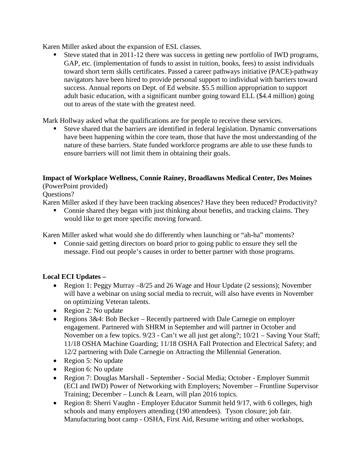Karen Miller asked about the expansion of ESL classes.

 Steve stated that in 2011-12 there was success in getting new portfolio of IWD programs, GAP, etc. (implementation of funds to assist in tuition, books, fees) to assist individuals toward short term skills certificates. Passed a career pathways initiative (PACE)-pathway navigators have been hired to provide personal support to individual with barriers toward success. Annual reports on Dept. of Ed website. \$5.5 million appropriation to support adult basic education, with a significant number going toward ELL (\$4.4 million) going out to areas of the state with the greatest need.

Mark Hollway asked what the qualifications are for people to receive these services.

 Steve shared that the barriers are identified in federal legislation. Dynamic conversations have been happening within the core team, those that have the most understanding of the nature of these barriers. State funded workforce programs are able to use these funds to ensure barriers will not limit them in obtaining their goals.

# **Impact of Workplace Wellness, Connie Rainey, Broadlawns Medical Center, Des Moines**

(PowerPoint provided)

Questions?

Karen Miller asked if they have been tracking absences? Have they been reduced? Productivity?

• Connie shared they began with just thinking about benefits, and tracking claims. They would like to get more specific moving forward.

Karen Miller asked what would she do differently when launching or "ah-ha" moments?

 Connie said getting directors on board prior to going public to ensure they sell the message. Find out people's causes in order to better partner with those programs.

## **Local ECI Updates –**

- Region 1: Peggy Murray –8/25 and 26 Wage and Hour Update (2 sessions); November will have a webinar on using social media to recruit, will also have events in November on optimizing Veteran talents.
- Region 2: No update
- Regions  $3\&4$ : Bob Becker Recently partnered with Dale Carnegie on employer engagement. Partnered with SHRM in September and will partner in October and November on a few topics. 9/23 - Can't we all just get along?; 10/21 – Saving Your Staff; 11/18 OSHA Machine Guarding; 11/18 OSHA Fall Protection and Electrical Safety; and 12/2 partnering with Dale Carnegie on Attracting the Millennial Generation.
- Region 5: No update
- Region 6: No update
- Region 7: Douglas Marshall September Social Media; October Employer Summit (ECI and IWD) Power of Networking with Employers; November – Frontline Supervisor Training; December – Lunch & Learn, will plan 2016 topics.
- Region 8: Sherri Vaughn Employer Educator Summit held 9/17, with 6 colleges, high schools and many employers attending (190 attendees). Tyson closure; job fair. Manufacturing boot camp - OSHA, First Aid, Resume writing and other workshops,